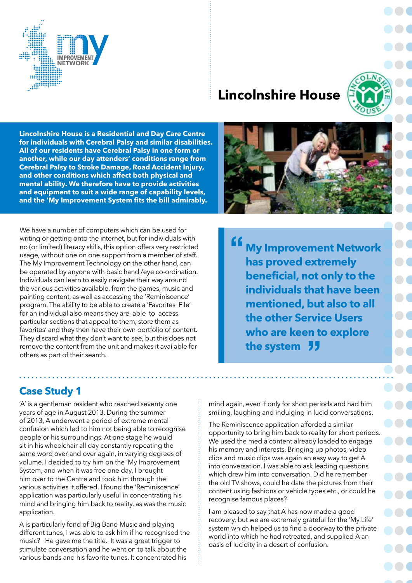

# **Lincolnshire House**



**Lincolnshire House is a Residential and Day Care Centre for individuals with Cerebral Palsy and similar disabilities. All of our residents have Cerebral Palsy in one form or another, while our day attenders' conditions range from Cerebral Palsy to Stroke Damage, Road Accident Injury, and other conditions which affect both physical and mental ability. We therefore have to provide activities and equipment to suit a wide range of capability levels, and the 'My Improvement System fits the bill admirably.**

We have a number of computers which can be used for writing or getting onto the internet, but for individuals with no (or limited) literacy skills, this option offers very restricted usage, without one on one support from a member of staff. The My Improvement Technology on the other hand, can be operated by anyone with basic hand /eye co-ordination. Individuals can learn to easily navigate their way around the various activities available, from the games, music and painting content, as well as accessing the 'Reminiscence' program. The ability to be able to create a 'Favorites File' for an individual also means they are able to access particular sections that appeal to them, store them as favorites' and they then have their own portfolio of content. They discard what they don't want to see, but this does not remove the content from the unit and makes it available for others as part of their search.

**My Improvement Network has proved extremely beneficial, not only to the individuals that have been mentioned, but also to all the other Service Users who are keen to explore**  who are keen t<br>the system "

### **Case Study 1**

'A' is a gentleman resident who reached seventy one years of age in August 2013. During the summer of 2013, A underwent a period of extreme mental confusion which led to him not being able to recognise people or his surroundings. At one stage he would sit in his wheelchair all day constantly repeating the same word over and over again, in varying degrees of volume. I decided to try him on the 'My Improvement System, and when it was free one day, I brought him over to the Centre and took him through the various activities it offered. I found the 'Reminiscence' application was particularly useful in concentrating his mind and bringing him back to reality, as was the music application.

A is particularly fond of Big Band Music and playing different tunes, I was able to ask him if he recognised the music? He gave me the title. It was a great trigger to stimulate conversation and he went on to talk about the various bands and his favorite tunes. It concentrated his

mind again, even if only for short periods and had him smiling, laughing and indulging in lucid conversations.

The Reminiscence application afforded a similar opportunity to bring him back to reality for short periods. We used the media content already loaded to engage his memory and interests. Bringing up photos, video clips and music clips was again an easy way to get A into conversation. I was able to ask leading questions which drew him into conversation. Did he remember the old TV shows, could he date the pictures from their content using fashions or vehicle types etc., or could he recognise famous places?

I am pleased to say that A has now made a good recovery, but we are extremely grateful for the 'My Life' system which helped us to find a doorway to the private world into which he had retreated, and supplied A an oasis of lucidity in a desert of confusion.

 $\blacksquare$